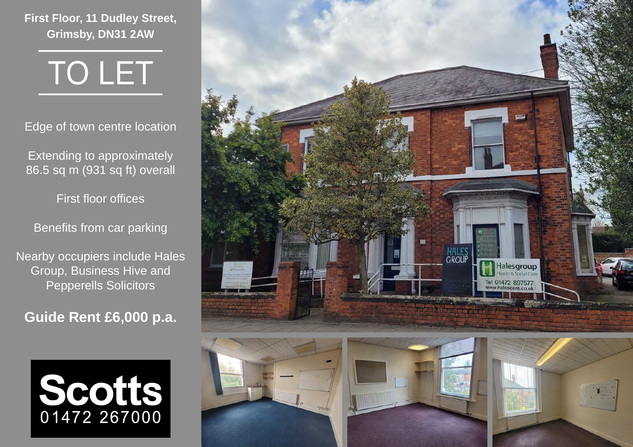**First Floor, 11 Dudley Street, Grimsby, DN31 2AW**



Edge of town centre location

Extending to approximately 86.5 sq m (931 sq ft) overall

First floor offices

Benefits from car parking

Nearby occupiers include Hales Group, Business Hive and Pepperells Solicitors

**Guide Rent £6,000 p.a.**